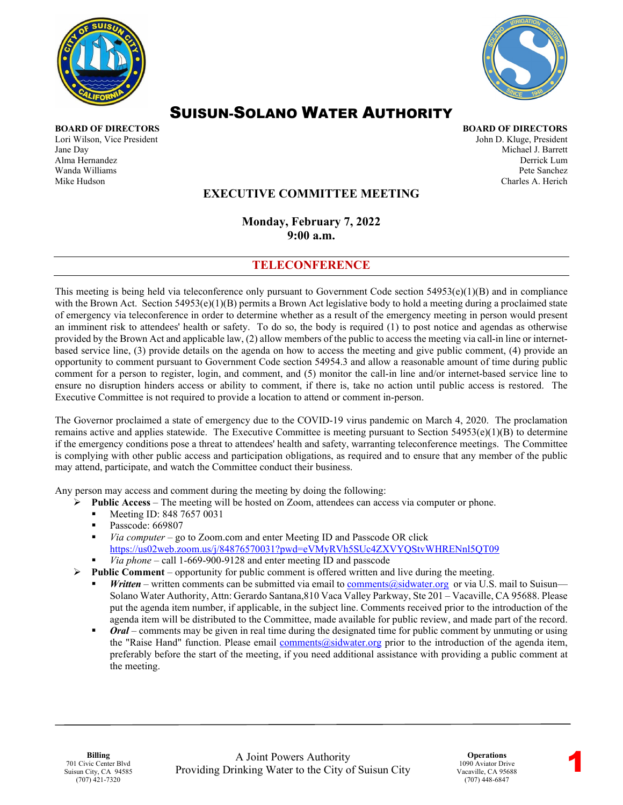



# SUISUN-SOLANO WATER AUTHORITY

Lori Wilson, Vice President and American School and American School and American John D. Kluge, President John D. Kluge, President Jane Day Michael J. Barrett Alma Hernandez Derrick Lum Wanda Williams Pete Sanchez Mike Hudson Charles A. Herich

**BOARD OF DIRECTORS BOARD OF DIRECTORS**

### **EXECUTIVE COMMITTEE MEETING**

**Monday, February 7, 2022 9:00 a.m.** 

#### **TELECONFERENCE**

This meeting is being held via teleconference only pursuant to Government Code section  $54953(e)(1)(B)$  and in compliance with the Brown Act. Section  $54953(e)(1)(B)$  permits a Brown Act legislative body to hold a meeting during a proclaimed state of emergency via teleconference in order to determine whether as a result of the emergency meeting in person would present an imminent risk to attendees' health or safety. To do so, the body is required (1) to post notice and agendas as otherwise provided by the Brown Act and applicable law, (2) allow members of the public to access the meeting via call-in line or internetbased service line, (3) provide details on the agenda on how to access the meeting and give public comment, (4) provide an opportunity to comment pursuant to Government Code section 54954.3 and allow a reasonable amount of time during public comment for a person to register, login, and comment, and (5) monitor the call-in line and/or internet-based service line to ensure no disruption hinders access or ability to comment, if there is, take no action until public access is restored. The Executive Committee is not required to provide a location to attend or comment in-person.

The Governor proclaimed a state of emergency due to the COVID-19 virus pandemic on March 4, 2020. The proclamation remains active and applies statewide. The Executive Committee is meeting pursuant to Section  $54953(e)(1)(B)$  to determine if the emergency conditions pose a threat to attendees' health and safety, warranting teleconference meetings. The Committee is complying with other public access and participation obligations, as required and to ensure that any member of the public may attend, participate, and watch the Committee conduct their business.

Any person may access and comment during the meeting by doing the following:

- **Public Access**The meeting will be hosted on Zoom, attendees can access via computer or phone.
	- Meeting ID: 848 7657 0031
	- Passcode: 669807
	- *Via computer* go to Zoom.com and enter Meeting ID and Passcode OR click <https://us02web.zoom.us/j/84876570031?pwd=eVMyRVh5SUc4ZXVYQStvWHRENnl5QT09>
	- *Via phone* call 1-669-900-9128 and enter meeting ID and passcode
- $\triangleright$  **Public Comment** opportunity for public comment is offered written and live during the meeting.
	- *Written* written comments can be submitted via email to [comments@sidwater.org](mailto:comments@sidwater.org) or via U.S. mail to Suisun— Solano Water Authority, Attn: Gerardo Santana,810 Vaca Valley Parkway, Ste 201 – Vacaville, CA 95688. Please put the agenda item number, if applicable, in the subject line. Comments received prior to the introduction of the agenda item will be distributed to the Committee, made available for public review, and made part of the record.
	- *Oral* comments may be given in real time during the designated time for public comment by unmuting or using the "Raise Hand" function. Please email [comments@sidwater.org](mailto:comments@sidwater.org) prior to the introduction of the agenda item, preferably before the start of the meeting, if you need additional assistance with providing a public comment at the meeting.

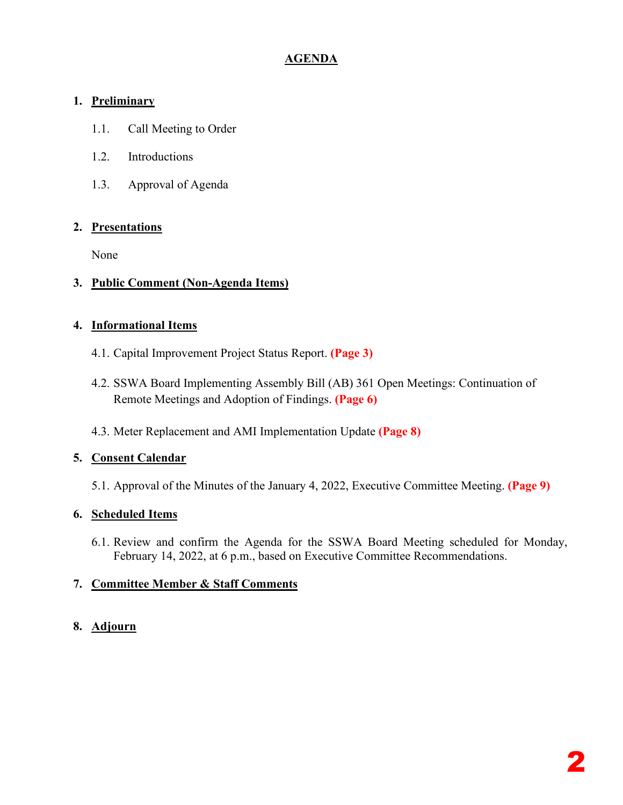## **AGENDA**

## **1. Preliminary**

- 1.1. Call Meeting to Order
- 1.2. Introductions
- 1.3. Approval of Agenda

### **2. Presentations**

None

### **3. Public Comment (Non-Agenda Items)**

### **4. Informational Items**

- 4.1. Capital Improvement Project Status Report. **(Page 3)**
- 4.2. SSWA Board Implementing Assembly Bill (AB) 361 Open Meetings: Continuation of Remote Meetings and Adoption of Findings. **(Page 6)**
- 4.3. Meter Replacement and AMI Implementation Update **(Page 8)**

## **5. Consent Calendar**

5.1. Approval of the Minutes of the January 4, 2022, Executive Committee Meeting. **(Page 9)**

## **6. Scheduled Items**

6.1. Review and confirm the Agenda for the SSWA Board Meeting scheduled for Monday, February 14, 2022, at 6 p.m., based on Executive Committee Recommendations.

## **7. Committee Member & Staff Comments**

## **8. Adjourn**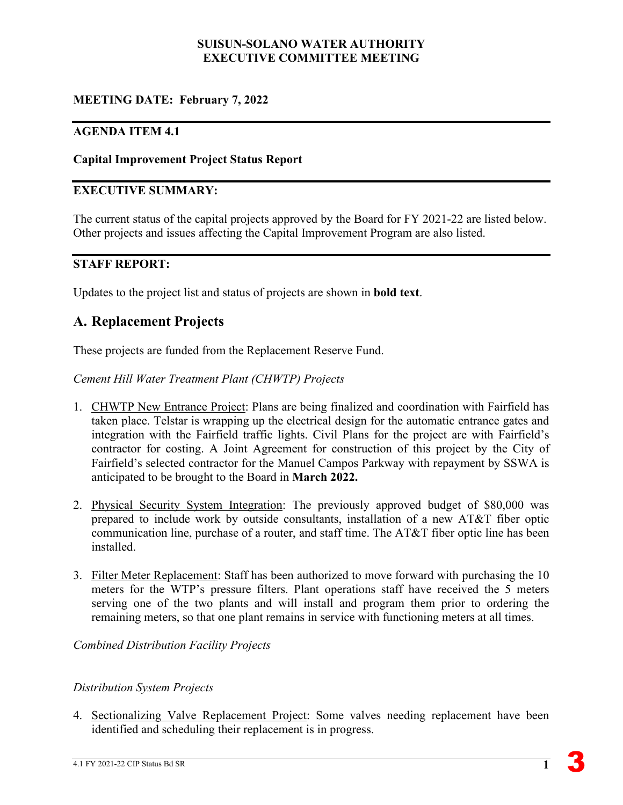#### **SUISUN-SOLANO WATER AUTHORITY EXECUTIVE COMMITTEE MEETING**

## **MEETING DATE: February 7, 2022**

#### **AGENDA ITEM 4.1**

#### **Capital Improvement Project Status Report**

#### **EXECUTIVE SUMMARY:**

The current status of the capital projects approved by the Board for FY 2021-22 are listed below. Other projects and issues affecting the Capital Improvement Program are also listed.

#### **STAFF REPORT:**

Updates to the project list and status of projects are shown in **bold text**.

## **A. Replacement Projects**

These projects are funded from the Replacement Reserve Fund.

*Cement Hill Water Treatment Plant (CHWTP) Projects*

- 1. CHWTP New Entrance Project: Plans are being finalized and coordination with Fairfield has taken place. Telstar is wrapping up the electrical design for the automatic entrance gates and integration with the Fairfield traffic lights. Civil Plans for the project are with Fairfield's contractor for costing. A Joint Agreement for construction of this project by the City of Fairfield's selected contractor for the Manuel Campos Parkway with repayment by SSWA is anticipated to be brought to the Board in **March 2022.**
- 2. Physical Security System Integration: The previously approved budget of \$80,000 was prepared to include work by outside consultants, installation of a new AT&T fiber optic communication line, purchase of a router, and staff time. The AT&T fiber optic line has been installed.
- 3. Filter Meter Replacement: Staff has been authorized to move forward with purchasing the 10 meters for the WTP's pressure filters. Plant operations staff have received the 5 meters serving one of the two plants and will install and program them prior to ordering the remaining meters, so that one plant remains in service with functioning meters at all times.

*Combined Distribution Facility Projects* 

#### *Distribution System Projects*

4. Sectionalizing Valve Replacement Project: Some valves needing replacement have been identified and scheduling their replacement is in progress.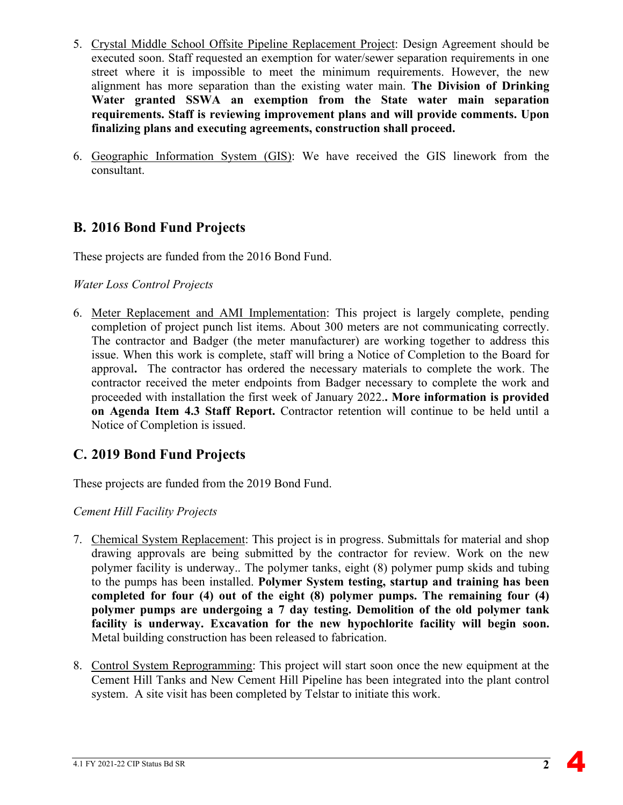- 5. Crystal Middle School Offsite Pipeline Replacement Project: Design Agreement should be executed soon. Staff requested an exemption for water/sewer separation requirements in one street where it is impossible to meet the minimum requirements. However, the new alignment has more separation than the existing water main. **The Division of Drinking Water granted SSWA an exemption from the State water main separation requirements. Staff is reviewing improvement plans and will provide comments. Upon finalizing plans and executing agreements, construction shall proceed.**
- 6. Geographic Information System (GIS): We have received the GIS linework from the consultant.

## **B. 2016 Bond Fund Projects**

These projects are funded from the 2016 Bond Fund.

#### *Water Loss Control Projects*

6. Meter Replacement and AMI Implementation: This project is largely complete, pending completion of project punch list items. About 300 meters are not communicating correctly. The contractor and Badger (the meter manufacturer) are working together to address this issue. When this work is complete, staff will bring a Notice of Completion to the Board for approval**.** The contractor has ordered the necessary materials to complete the work. The contractor received the meter endpoints from Badger necessary to complete the work and proceeded with installation the first week of January 2022.**. More information is provided on Agenda Item 4.3 Staff Report.** Contractor retention will continue to be held until a Notice of Completion is issued.

## **C. 2019 Bond Fund Projects**

These projects are funded from the 2019 Bond Fund.

## *Cement Hill Facility Projects*

- 7. Chemical System Replacement: This project is in progress. Submittals for material and shop drawing approvals are being submitted by the contractor for review. Work on the new polymer facility is underway.. The polymer tanks, eight (8) polymer pump skids and tubing to the pumps has been installed. **Polymer System testing, startup and training has been completed for four (4) out of the eight (8) polymer pumps. The remaining four (4) polymer pumps are undergoing a 7 day testing. Demolition of the old polymer tank facility is underway. Excavation for the new hypochlorite facility will begin soon.**  Metal building construction has been released to fabrication.
- 8. Control System Reprogramming: This project will start soon once the new equipment at the Cement Hill Tanks and New Cement Hill Pipeline has been integrated into the plant control system. A site visit has been completed by Telstar to initiate this work.

 $\blacktriangle$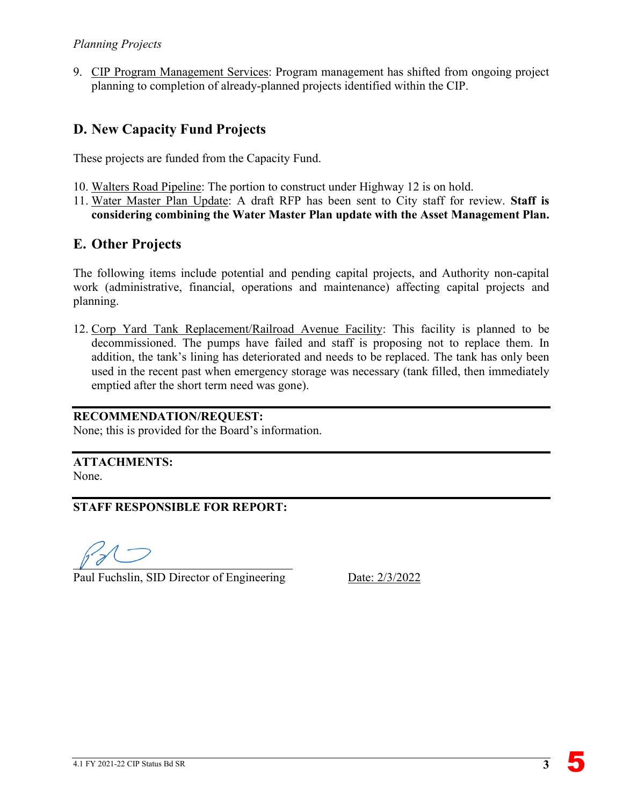9. CIP Program Management Services: Program management has shifted from ongoing project planning to completion of already-planned projects identified within the CIP.

## **D. New Capacity Fund Projects**

These projects are funded from the Capacity Fund.

- 10. Walters Road Pipeline: The portion to construct under Highway 12 is on hold.
- 11. Water Master Plan Update: A draft RFP has been sent to City staff for review. **Staff is considering combining the Water Master Plan update with the Asset Management Plan.**

## **E. Other Projects**

The following items include potential and pending capital projects, and Authority non-capital work (administrative, financial, operations and maintenance) affecting capital projects and planning.

12. Corp Yard Tank Replacement/Railroad Avenue Facility: This facility is planned to be decommissioned. The pumps have failed and staff is proposing not to replace them. In addition, the tank's lining has deteriorated and needs to be replaced. The tank has only been used in the recent past when emergency storage was necessary (tank filled, then immediately emptied after the short term need was gone).

#### **RECOMMENDATION/REQUEST:**

None; this is provided for the Board's information.

**ATTACHMENTS:** None.

**STAFF RESPONSIBLE FOR REPORT:**

Paul Fuchslin, SID Director of Engineering Date: 2/3/2022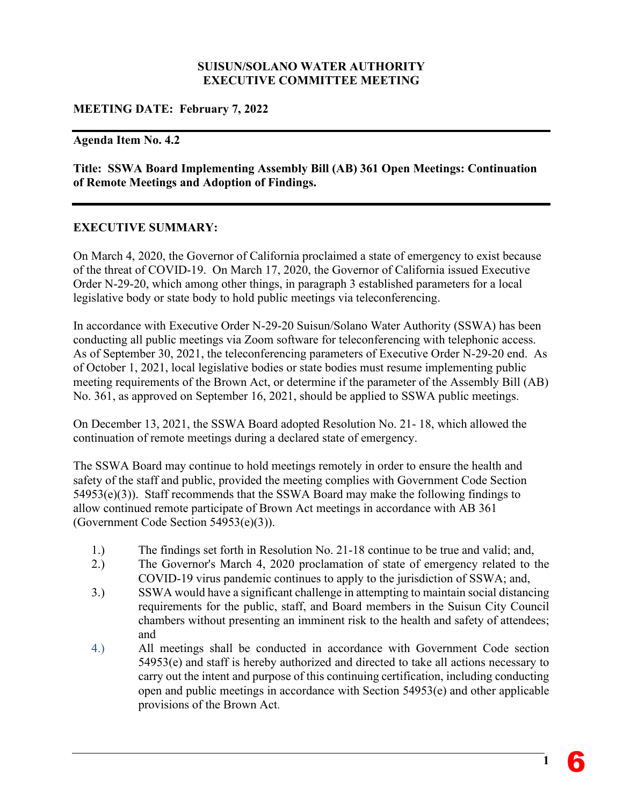#### **SUISUN/SOLANO WATER AUTHORITY EXECUTIVE COMMITTEE MEETING**

#### **MEETING DATE: February 7, 2022**

#### **Agenda Item No. 4.2**

**Title: SSWA Board Implementing Assembly Bill (AB) 361 Open Meetings: Continuation of Remote Meetings and Adoption of Findings.**

#### **EXECUTIVE SUMMARY:**

On March 4, 2020, the Governor of California proclaimed a state of emergency to exist because of the threat of COVID-19. On March 17, 2020, the Governor of California issued Executive Order N-29-20, which among other things, in paragraph 3 established parameters for a local legislative body or state body to hold public meetings via teleconferencing.

In accordance with Executive Order N-29-20 Suisun/Solano Water Authority (SSWA) has been conducting all public meetings via Zoom software for teleconferencing with telephonic access. As of September 30, 2021, the teleconferencing parameters of Executive Order N-29-20 end. As of October 1, 2021, local legislative bodies or state bodies must resume implementing public meeting requirements of the Brown Act, or determine if the parameter of the Assembly Bill (AB) No. 361, as approved on September 16, 2021, should be applied to SSWA public meetings.

On December 13, 2021, the SSWA Board adopted Resolution No. 21- 18, which allowed the continuation of remote meetings during a declared state of emergency.

The SSWA Board may continue to hold meetings remotely in order to ensure the health and safety of the staff and public, provided the meeting complies with Government Code Section 54953(e)(3)). Staff recommends that the SSWA Board may make the following findings to allow continued remote participate of Brown Act meetings in accordance with AB 361 (Government Code Section 54953(e)(3)).

- 1.) The findings set forth in Resolution No. 21-18 continue to be true and valid; and,
- 2.) The Governor's March 4, 2020 proclamation of state of emergency related to the COVID-19 virus pandemic continues to apply to the jurisdiction of SSWA; and,
- 3.) SSWA would have a significant challenge in attempting to maintain social distancing requirements for the public, staff, and Board members in the Suisun City Council chambers without presenting an imminent risk to the health and safety of attendees; and
- 4.) All meetings shall be conducted in accordance with Government Code section 54953(e) and staff is hereby authorized and directed to take all actions necessary to carry out the intent and purpose of this continuing certification, including conducting open and public meetings in accordance with Section 54953(e) and other applicable provisions of the Brown Act.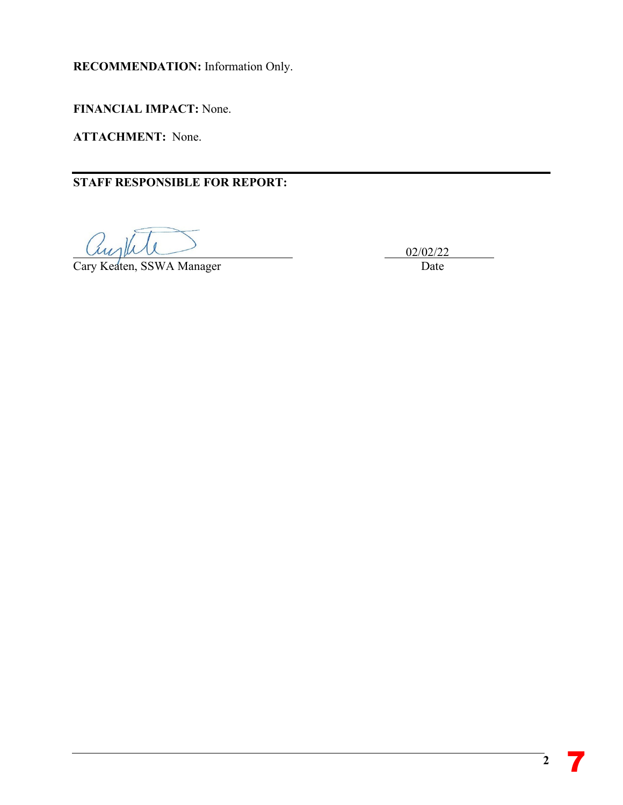**RECOMMENDATION:** Information Only.

**FINANCIAL IMPACT:** None.

**ATTACHMENT:** None.

**STAFF RESPONSIBLE FOR REPORT:** 

augh

Cary Keaten, SSWA Manager Date

02/02/22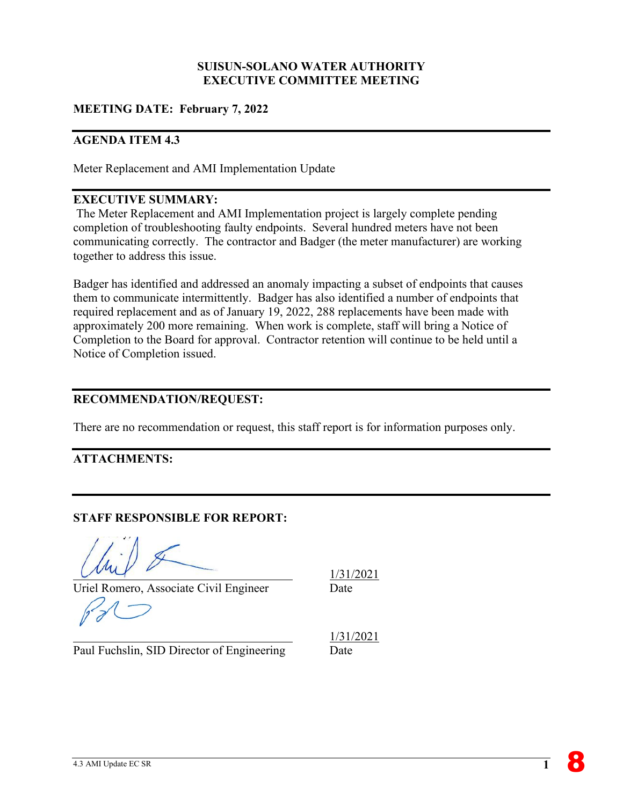#### **SUISUN-SOLANO WATER AUTHORITY EXECUTIVE COMMITTEE MEETING**

#### **MEETING DATE: February 7, 2022**

#### **AGENDA ITEM 4.3**

Meter Replacement and AMI Implementation Update

#### **EXECUTIVE SUMMARY:**

The Meter Replacement and AMI Implementation project is largely complete pending completion of troubleshooting faulty endpoints. Several hundred meters have not been communicating correctly. The contractor and Badger (the meter manufacturer) are working together to address this issue.

Badger has identified and addressed an anomaly impacting a subset of endpoints that causes them to communicate intermittently. Badger has also identified a number of endpoints that required replacement and as of January 19, 2022, 288 replacements have been made with approximately 200 more remaining. When work is complete, staff will bring a Notice of Completion to the Board for approval. Contractor retention will continue to be held until a Notice of Completion issued.

#### **RECOMMENDATION/REQUEST:**

There are no recommendation or request, this staff report is for information purposes only.

### **ATTACHMENTS:**

#### **STAFF RESPONSIBLE FOR REPORT:**

Uriel Romero, Associate Civil Engineer Date

Paul Fuchslin, SID Director of Engineering Date

1/31/2021

1/31/2021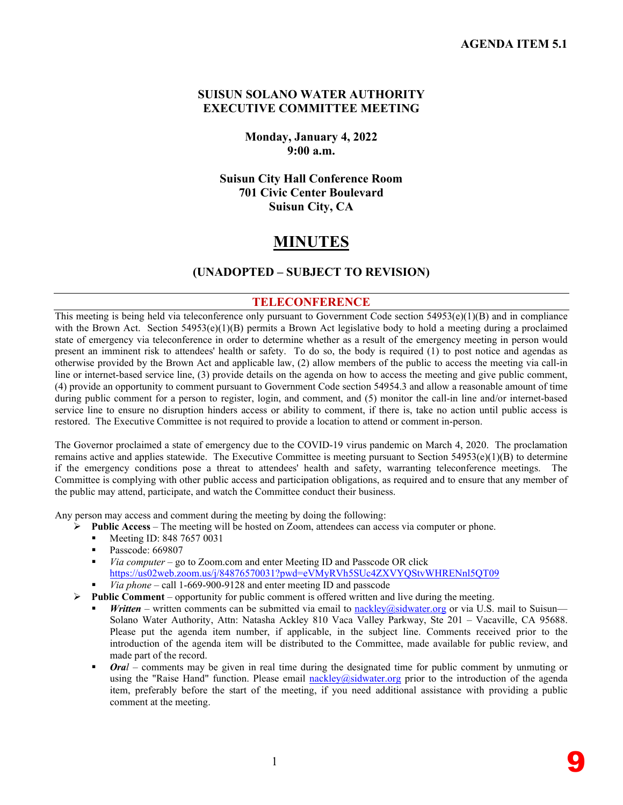#### **SUISUN SOLANO WATER AUTHORITY EXECUTIVE COMMITTEE MEETING**

**Monday, January 4, 2022 9:00 a.m.** 

**Suisun City Hall Conference Room 701 Civic Center Boulevard Suisun City, CA**

## **MINUTES**

#### **(UNADOPTED – SUBJECT TO REVISION)**

#### **TELECONFERENCE**

This meeting is being held via teleconference only pursuant to Government Code section  $54953(e)(1)(B)$  and in compliance with the Brown Act. Section 54953(e)(1)(B) permits a Brown Act legislative body to hold a meeting during a proclaimed state of emergency via teleconference in order to determine whether as a result of the emergency meeting in person would present an imminent risk to attendees' health or safety. To do so, the body is required (1) to post notice and agendas as otherwise provided by the Brown Act and applicable law, (2) allow members of the public to access the meeting via call-in line or internet-based service line, (3) provide details on the agenda on how to access the meeting and give public comment, (4) provide an opportunity to comment pursuant to Government Code section 54954.3 and allow a reasonable amount of time during public comment for a person to register, login, and comment, and (5) monitor the call-in line and/or internet-based service line to ensure no disruption hinders access or ability to comment, if there is, take no action until public access is restored. The Executive Committee is not required to provide a location to attend or comment in-person.

The Governor proclaimed a state of emergency due to the COVID-19 virus pandemic on March 4, 2020. The proclamation remains active and applies statewide. The Executive Committee is meeting pursuant to Section  $54953(e)(1)(B)$  to determine if the emergency conditions pose a threat to attendees' health and safety, warranting teleconference meetings. The Committee is complying with other public access and participation obligations, as required and to ensure that any member of the public may attend, participate, and watch the Committee conduct their business.

Any person may access and comment during the meeting by doing the following:

- **Public Access**The meeting will be hosted on Zoom, attendees can access via computer or phone.
	- Meeting ID: 848 7657 0031
	- Passcode: 669807
	- *Via computer* go to Zoom.com and enter Meeting ID and Passcode OR click https://us02web.zoom.us/j/84876570031?pwd=eVMyRVh5SUc4ZXVYQStvWHRENnl5OT09
	- *Via phone* call 1-669-900-9128 and enter meeting ID and passcode
- **Public Comment** opportunity for public comment is offered written and live during the meeting.
	- *Written* written comments can be submitted via email to [nackley@sidwater.org](mailto:nackley@sidwater.org) or via U.S. mail to Suisun— Solano Water Authority, Attn: Natasha Ackley 810 Vaca Valley Parkway, Ste 201 – Vacaville, CA 95688. Please put the agenda item number, if applicable, in the subject line. Comments received prior to the introduction of the agenda item will be distributed to the Committee, made available for public review, and made part of the record.
	- *Oral* comments may be given in real time during the designated time for public comment by unmuting or using the "Raise Hand" function. Please email [nackley@sidwater.org](mailto:nackley@sidwater.org) prior to the introduction of the agenda item, preferably before the start of the meeting, if you need additional assistance with providing a public comment at the meeting.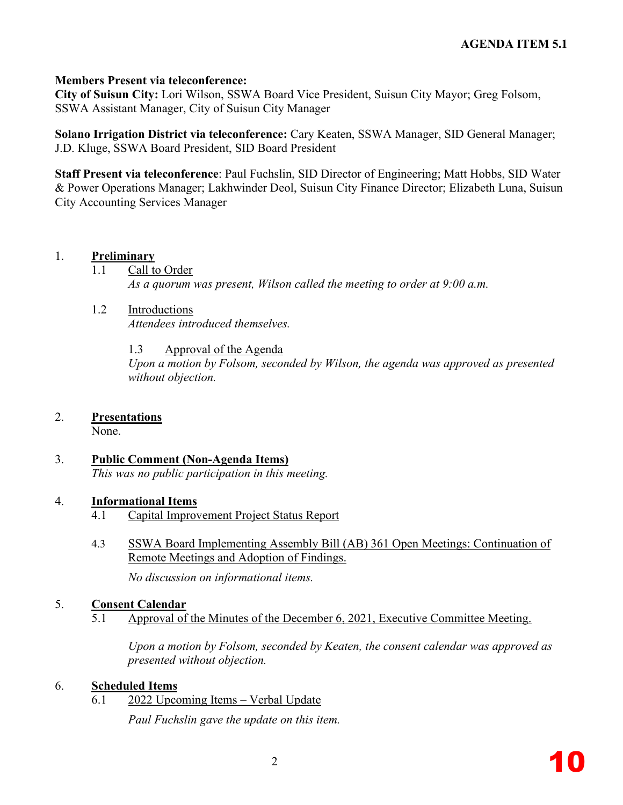#### **Members Present via teleconference:**

**City of Suisun City:** Lori Wilson, SSWA Board Vice President, Suisun City Mayor; Greg Folsom, SSWA Assistant Manager, City of Suisun City Manager

**Solano Irrigation District via teleconference:** Cary Keaten, SSWA Manager, SID General Manager; J.D. Kluge, SSWA Board President, SID Board President

**Staff Present via teleconference**: Paul Fuchslin, SID Director of Engineering; Matt Hobbs, SID Water & Power Operations Manager; Lakhwinder Deol, Suisun City Finance Director; Elizabeth Luna, Suisun City Accounting Services Manager

#### 1. **Preliminary**

1.1 Call to Order

*As a quorum was present, Wilson called the meeting to order at 9:00 a.m.* 

- 1.2 Introductions *Attendees introduced themselves.* 
	- 1.3 Approval of the Agenda

*Upon a motion by Folsom, seconded by Wilson, the agenda was approved as presented without objection.* 

#### 2. **Presentations**

None.

3. **Public Comment (Non-Agenda Items)** *This was no public participation in this meeting.*

#### 4. **Informational Items**

- 4.1 Capital Improvement Project Status Report
- 4.3 SSWA Board Implementing Assembly Bill (AB) 361 Open Meetings: Continuation of Remote Meetings and Adoption of Findings.

*No discussion on informational items.*

#### 5. **Consent Calendar**

5.1 Approval of the Minutes of the December 6, 2021, Executive Committee Meeting.

*Upon a motion by Folsom, seconded by Keaten, the consent calendar was approved as presented without objection.*

#### 6. **Scheduled Items**

6.1 2022 Upcoming Items – Verbal Update

*Paul Fuchslin gave the update on this item.*